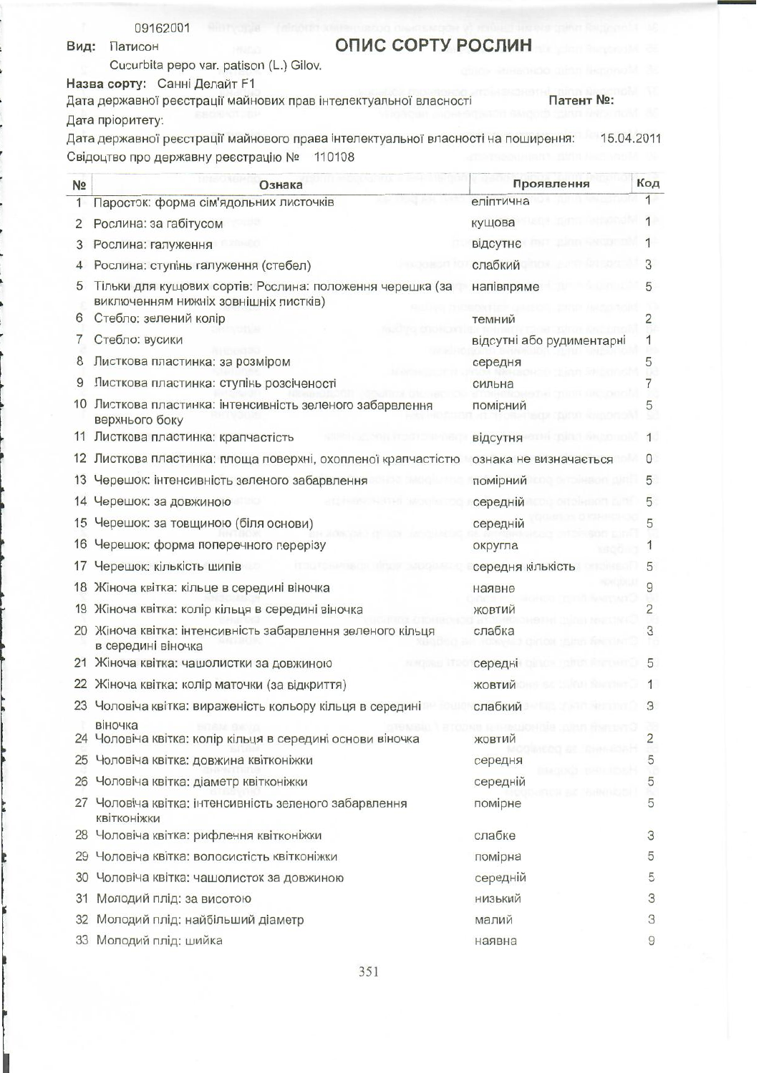|  | 09162001 |  |
|--|----------|--|
|  |          |  |

Вид: Патисон

## ОПИС СОРТУ РОСЛИН

Cucurbita pepo var. patison (L.) Gilov.

Назва сорту: Санні Делайт F1

Дата державної реєстрації майнових прав інтелектуальної власності Патент No: Дата пріоритету:

Дата державної реєстрації майнового права інтелектуальної власності на поширення: 15.04.2011 Свідоцтво про державну реєстрацію № 110108

| N <sub>2</sub> | Ознака                                                                                             | Проявлення                | Код            |
|----------------|----------------------------------------------------------------------------------------------------|---------------------------|----------------|
| 1              | Паросток: форма сім'ядольних листочків                                                             | еліптична                 |                |
| 2              | Рослина: за габітусом                                                                              | кущова                    |                |
| 3              | Рослина: галуження                                                                                 | відсутнє                  |                |
|                | Рослина: ступінь галуження (стебел)                                                                | слабкий                   | З              |
| 5              | Тільки для кущових сортів: Рослина: положення черешка (за<br>виключенням нижніх зовнішніх листків) | напівпряме                | 5              |
| 6              | Стебло: зелений колір                                                                              | темний                    | $\overline{2}$ |
| 7              | Стебло: вусики                                                                                     | відсутні або рудиментарні | 1              |
| 8              | Листкова пластинка: за розміром                                                                    | середня                   | 5              |
| 9              | Листкова пластинка: ступінь розсіченості                                                           | сильна                    |                |
| 10             | Листкова пластинка: інтенсивність зеленого забарвлення<br>верхнього боку                           | помірний                  |                |
|                | 11 Листкова пластинка: крапчастість                                                                | відсутня                  |                |
|                | 12 Листкова пластинка: площа поверхні, охопленої крапчастістю                                      | ознака не визначається    |                |
| 13             | Черешок: інтенсивність зеленого забарвлення                                                        | помірний                  | 5              |
|                | 14 Черешок: за довжиною                                                                            | середній                  | 5              |
| 15             | Черешок: за товщиною (біля основи)                                                                 | середній                  | 5              |
| 16             | Черешок: форма поперечного перерізу                                                                | округла                   |                |
| 17             | Черешок: кількість шипів                                                                           | середня кількість         | 5              |
| 18             | Жіноча квітка: кільце в середині віночка                                                           | наявне                    | 9              |
| 19             | Жіноча квітка: колір кільця в середині віночка                                                     | ЖОВТИЙ                    | 2              |
|                | 20 Жіноча квітка: інтенсивність забарвлення зеленого кільця<br>в середині віночка                  | слабка                    | 3              |
|                | 21 Жіноча квітка: чашолистки за довжиною                                                           | середні                   | 5              |
|                | 22 Жіноча квітка: колір маточки (за відкриття)                                                     | ЖОВТИЙ                    | 1              |
|                | 23 Чоловіча квітка: вираженість кольору кільця в середині                                          | слабкий                   | З              |
|                | віночка<br>24 Чоловіча квітка: колір кільця в середині основи віночка                              | ЖОВТИЙ                    | 2              |
|                | 25 Чоловіча квітка: довжина квітконіжки                                                            | середня                   | 5              |
|                | 26 Чоловіча квітка: діаметр квітконіжки                                                            | середній                  | 5              |
|                | 27 Чоловіча квітка: інтенсивність зеленого забарвлення<br>квітконіжки                              | помірне                   | 5              |
|                | 28 Чоловіча квітка: рифлення квітконіжки                                                           | слабке                    | 3              |
|                | 29 Чоловіча квітка: волосистість квітконіжки                                                       | помірна                   | 5              |
|                | 30 Чоловіча квітка: чашолисток за довжиною                                                         | середній                  | 5              |
| 31             | Молодий плід: за висотою                                                                           | низький                   | 3              |
| 32             | Молодий плід: найбільший діаметр                                                                   | малий                     | 3              |
|                | 33 Молодий плід: шийка                                                                             | наявна                    | 9              |